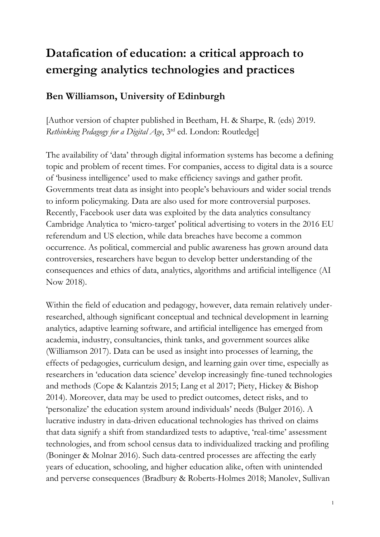# **Datafication of education: a critical approach to emerging analytics technologies and practices**

## **Ben Williamson, University of Edinburgh**

[Author version of chapter published in Beetham, H. & Sharpe, R. (eds) 2019. *Rethinking Pedagogy for a Digital Age*, 3rd ed. London: Routledge]

The availability of 'data' through digital information systems has become a defining topic and problem of recent times. For companies, access to digital data is a source of 'business intelligence' used to make efficiency savings and gather profit. Governments treat data as insight into people's behaviours and wider social trends to inform policymaking. Data are also used for more controversial purposes. Recently, Facebook user data was exploited by the data analytics consultancy Cambridge Analytica to 'micro-target' political advertising to voters in the 2016 EU referendum and US election, while data breaches have become a common occurrence. As political, commercial and public awareness has grown around data controversies, researchers have begun to develop better understanding of the consequences and ethics of data, analytics, algorithms and artificial intelligence (AI Now 2018).

Within the field of education and pedagogy, however, data remain relatively underresearched, although significant conceptual and technical development in learning analytics, adaptive learning software, and artificial intelligence has emerged from academia, industry, consultancies, think tanks, and government sources alike (Williamson 2017). Data can be used as insight into processes of learning, the effects of pedagogies, curriculum design, and learning gain over time, especially as researchers in 'education data science' develop increasingly fine-tuned technologies and methods (Cope & Kalantzis 2015; Lang et al 2017; Piety, Hickey & Bishop 2014). Moreover, data may be used to predict outcomes, detect risks, and to 'personalize' the education system around individuals' needs (Bulger 2016). A lucrative industry in data-driven educational technologies has thrived on claims that data signify a shift from standardized tests to adaptive, 'real-time' assessment technologies, and from school census data to individualized tracking and profiling (Boninger & Molnar 2016). Such data-centred processes are affecting the early years of education, schooling, and higher education alike, often with unintended and perverse consequences (Bradbury & Roberts-Holmes 2018; Manolev, Sullivan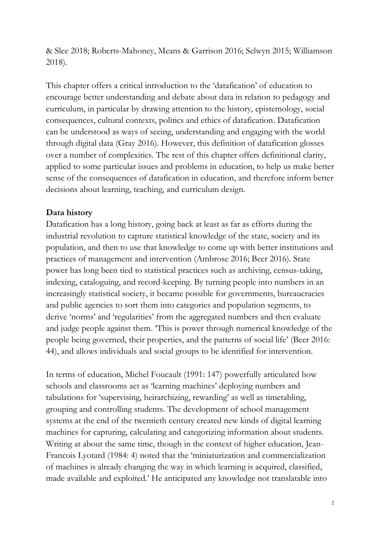& Slee 2018; Roberts-Mahoney, Means & Garrison 2016; Selwyn 2015; Williamson 2018).

This chapter offers a critical introduction to the 'datafication' of education to encourage better understanding and debate about data in relation to pedagogy and curriculum, in particular by drawing attention to the history, epistemology, social consequences, cultural contexts, politics and ethics of datafication. Datafication can be understood as ways of seeing, understanding and engaging with the world through digital data (Gray 2016). However, this definition of datafication glosses over a number of complexities. The rest of this chapter offers definitional clarity, applied to some particular issues and problems in education, to help us make better sense of the consequences of datafication in education, and therefore inform better decisions about learning, teaching, and curriculum design.

## **Data history**

Datafication has a long history, going back at least as far as efforts during the industrial revolution to capture statistical knowledge of the state, society and its population, and then to use that knowledge to come up with better institutions and practices of management and intervention (Ambrose 2016; Beer 2016). State power has long been tied to statistical practices such as archiving, census-taking, indexing, cataloguing, and record-keeping. By turning people into numbers in an increasingly statistical society, it became possible for governments, bureaucracies and public agencies to sort them into categories and population segments, to derive 'norms' and 'regularities' from the aggregated numbers and then evaluate and judge people against them. 'This is power through numerical knowledge of the people being governed, their properties, and the patterns of social life' (Beer 2016: 44), and allows individuals and social groups to be identified for intervention.

In terms of education, [Michel Foucault](https://monoskop.org/images/4/43/Foucault_Michel_Discipline_and_Punish_The_Birth_of_the_Prison_1977_1995.pdf) (1991: 147) powerfully articulated how schools and classrooms act as 'learning machines' deploying numbers and tabulations for 'supervising, heirarchizing, rewarding' as well as timetabling, grouping and controlling students. The development of school management systems at the end of the twentieth century created new kinds of digital learning machines for capturing, calculating and categorizing information about students. Writing at about the same time, though in the context of higher education, Jean-Francois Lyotard (1984: 4) noted that the 'miniaturization and commercialization of machines is already changing the way in which learning is acquired, classified, made available and exploited.' He anticipated any knowledge not translatable into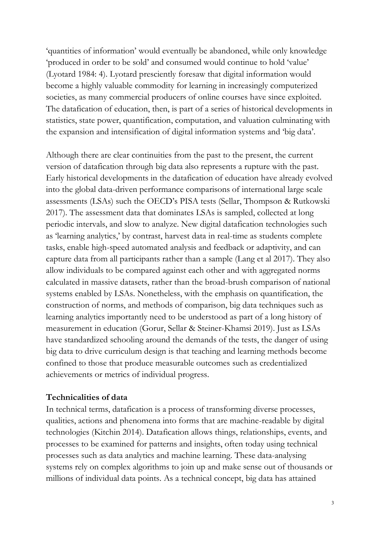'quantities of information' would eventually be abandoned, while only knowledge 'produced in order to be sold' and consumed would continue to hold 'value' (Lyotard 1984: 4). Lyotard presciently foresaw that digital information would become a highly valuable commodity for learning in increasingly computerized societies, as many commercial producers of online courses have since exploited. The datafication of education, then, is part of a series of historical developments in statistics, state power, quantification, computation, and valuation culminating with the expansion and intensification of digital information systems and 'big data'.

Although there are clear continuities from the past to the present, the current version of datafication through big data also represents a rupture with the past. Early historical developments in the datafication of education have already evolved into the global data-driven performance comparisons of international large scale assessments (LSAs) such the OECD's PISA tests (Sellar, Thompson & Rutkowski 2017). The assessment data that dominates LSAs is sampled, collected at long periodic intervals, and slow to analyze. New digital datafication technologies such as 'learning analytics,' by contrast, harvest data in real-time as students complete tasks, enable high-speed automated analysis and feedback or adaptivity, and can capture data from all participants rather than a sample (Lang et al 2017). They also allow individuals to be compared against each other and with aggregated norms calculated in massive datasets, rather than the broad-brush comparison of national systems enabled by LSAs. Nonetheless, with the emphasis on quantification, the construction of norms, and methods of comparison, big data techniques such as learning analytics importantly need to be understood as part of a long history of measurement in education (Gorur, Sellar & Steiner-Khamsi 2019). Just as LSAs have standardized schooling around the demands of the tests, the danger of using big data to drive curriculum design is that teaching and learning methods become confined to those that produce measurable outcomes such as credentialized achievements or metrics of individual progress.

#### **Technicalities of data**

In technical terms, datafication is a process of transforming diverse processes, qualities, actions and phenomena into forms that are machine-readable by digital technologies (Kitchin 2014). Datafication allows things, relationships, events, and processes to be examined for patterns and insights, often today using technical processes such as data analytics and machine learning. These data-analysing systems rely on complex algorithms to join up and make sense out of thousands or millions of individual data points. As a technical concept, big data has attained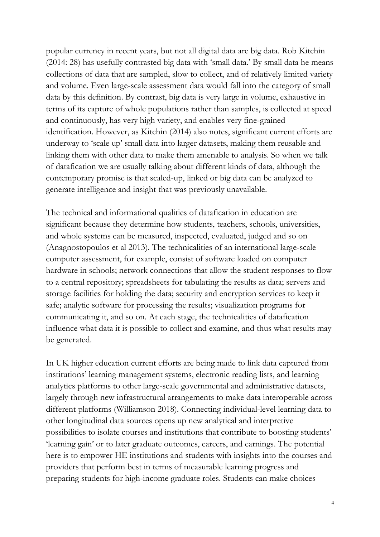popular currency in recent years, but not all digital data are big data. Rob Kitchin (2014: 28) has usefully contrasted big data with 'small data.' By small data he means collections of data that are sampled, slow to collect, and of relatively limited variety and volume. Even large-scale assessment data would fall into the category of small data by this definition. By contrast, big data is very large in volume, exhaustive in terms of its capture of whole populations rather than samples, is collected at speed and continuously, has very high variety, and enables very fine-grained identification. However, as Kitchin (2014) also notes, significant current efforts are underway to 'scale up' small data into larger datasets, making them reusable and linking them with other data to make them amenable to analysis. So when we talk of datafication we are usually talking about different kinds of data, although the contemporary promise is that scaled-up, linked or big data can be analyzed to generate intelligence and insight that was previously unavailable.

The technical and informational qualities of datafication in education are significant because they determine how students, teachers, schools, universities, and whole systems can be measured, inspected, evaluated, judged and so on (Anagnostopoulos et al 2013). The technicalities of an international large-scale computer assessment, for example, consist of software loaded on computer hardware in schools; network connections that allow the student responses to flow to a central repository; spreadsheets for tabulating the results as data; servers and storage facilities for holding the data; security and encryption services to keep it safe; analytic software for processing the results; visualization programs for communicating it, and so on. At each stage, the technicalities of datafication influence what data it is possible to collect and examine, and thus what results may be generated.

In UK higher education current efforts are being made to link data captured from institutions' learning management systems, electronic reading lists, and learning analytics platforms to other large-scale governmental and administrative datasets, largely through new infrastructural arrangements to make data interoperable across different platforms (Williamson 2018). Connecting individual-level learning data to other longitudinal data sources opens up new analytical and interpretive possibilities to isolate courses and institutions that contribute to boosting students' 'learning gain' or to later graduate outcomes, careers, and earnings. The potential here is to empower HE institutions and students with insights into the courses and providers that perform best in terms of measurable learning progress and preparing students for high-income graduate roles. Students can make choices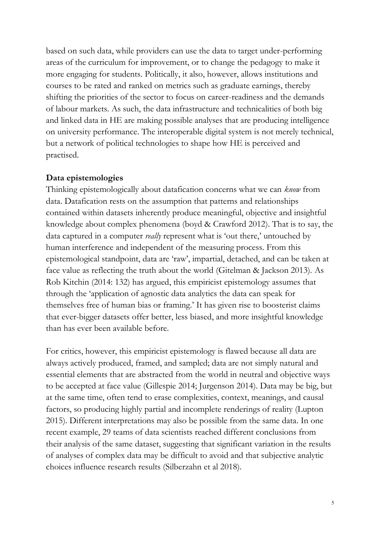based on such data, while providers can use the data to target under-performing areas of the curriculum for improvement, or to change the pedagogy to make it more engaging for students. Politically, it also, however, allows institutions and courses to be rated and ranked on metrics such as graduate earnings, thereby shifting the priorities of the sector to focus on career-readiness and the demands of labour markets. As such, the data infrastructure and technicalities of both big and linked data in HE are making possible analyses that are producing intelligence on university performance. The interoperable digital system is not merely technical, but a network of political technologies to shape how HE is perceived and practised.

### **Data epistemologies**

Thinking epistemologically about datafication concerns what we can *know* from data. Datafication rests on the assumption that patterns and relationships contained within datasets inherently produce meaningful, objective and insightful knowledge about complex phenomena (boyd & Crawford 2012). That is to say, the data captured in a computer *really* represent what is 'out there,' untouched by human interference and independent of the measuring process. From this epistemological standpoint, data are 'raw', impartial, detached, and can be taken at face value as reflecting the truth about the world (Gitelman & Jackson 2013). As Rob Kitchin (2014: 132) has argued, this empiricist epistemology assumes that through the 'application of agnostic data analytics the data can speak for themselves free of human bias or framing.' It has given rise to boosterist claims that ever-bigger datasets offer better, less biased, and more insightful knowledge than has ever been available before.

For critics, however, this empiricist epistemology is flawed because all data are always actively produced, framed, and sampled; data are not simply natural and essential elements that are abstracted from the world in neutral and objective ways to be accepted at face value (Gillespie 2014; Jurgenson 2014). Data may be big, but at the same time, often tend to erase complexities, context, meanings, and causal factors, so producing highly partial and incomplete renderings of reality (Lupton 2015). Different interpretations may also be possible from the same data. In one recent example, 29 teams of data scientists reached different conclusions from their analysis of the same dataset, suggesting that significant variation in the results of analyses of complex data may be difficult to avoid and that subjective analytic choices influence research results (Silberzahn et al 2018).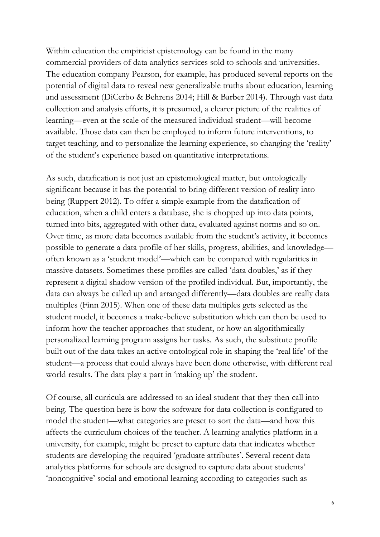Within education the empiricist epistemology can be found in the many commercial providers of data analytics services sold to schools and universities. The education company Pearson, for example, has produced several reports on the potential of digital data to reveal new generalizable truths about education, learning and assessment (DiCerbo & Behrens 2014; Hill & Barber 2014). Through vast data collection and analysis efforts, it is presumed, a clearer picture of the realities of learning—even at the scale of the measured individual student—will become available. Those data can then be employed to inform future interventions, to target teaching, and to personalize the learning experience, so changing the 'reality' of the student's experience based on quantitative interpretations.

As such, datafication is not just an epistemological matter, but ontologically significant because it has the potential to bring different version of reality into being (Ruppert 2012). To offer a simple example from the datafication of education, when a child enters a database, she is chopped up into data points, turned into bits, aggregated with other data, evaluated against norms and so on. Over time, as more data becomes available from the student's activity, it becomes possible to generate a data profile of her skills, progress, abilities, and knowledge often known as a 'student model'—which can be compared with regularities in massive datasets. Sometimes these profiles are called 'data doubles,' as if they represent a digital shadow version of the profiled individual. But, importantly, the data can always be called up and arranged differently—data doubles are really data multiples (Finn 2015). When one of these data multiples gets selected as the student model, it becomes a make-believe substitution which can then be used to inform how the teacher approaches that student, or how an algorithmically personalized learning program assigns her tasks. As such, the substitute profile built out of the data takes an active ontological role in shaping the 'real life' of the student—a process that could always have been done otherwise, with different real world results. The data play a part in 'making up' the student.

Of course, all curricula are addressed to an ideal student that they then call into being. The question here is how the software for data collection is configured to model the student—what categories are preset to sort the data—and how this affects the curriculum choices of the teacher. A learning analytics platform in a university, for example, might be preset to capture data that indicates whether students are developing the required 'graduate attributes'. Several recent data analytics platforms for schools are designed to capture data about students' 'noncognitive' social and emotional learning according to categories such as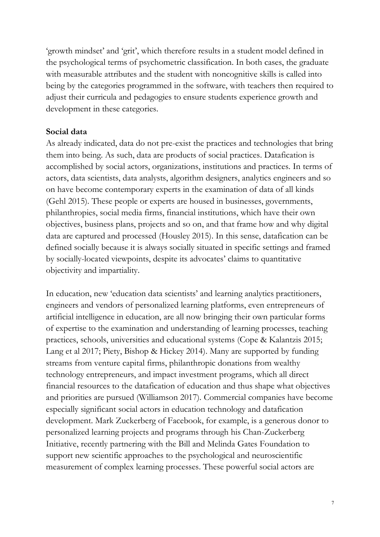'growth mindset' and 'grit', which therefore results in a student model defined in the psychological terms of psychometric classification. In both cases, the graduate with measurable attributes and the student with noncognitive skills is called into being by the categories programmed in the software, with teachers then required to adjust their curricula and pedagogies to ensure students experience growth and development in these categories.

#### **Social data**

As already indicated, data do not pre-exist the practices and technologies that bring them into being. As such, data are products of social practices. Datafication is accomplished by social actors, organizations, institutions and practices. In terms of actors, data scientists, data analysts, algorithm designers, analytics engineers and so on have become contemporary experts in the examination of data of all kinds (Gehl 2015). These people or experts are housed in businesses, governments, philanthropies, social media firms, financial institutions, which have their own objectives, business plans, projects and so on, and that frame how and why digital data are captured and processed (Housley 2015). In this sense, datafication can be defined socially because it is always socially situated in specific settings and framed by socially-located viewpoints, despite its advocates' claims to quantitative objectivity and impartiality.

In education, new 'education data scientists' and learning analytics practitioners, engineers and vendors of personalized learning platforms, even entrepreneurs of artificial intelligence in education, are all now bringing their own particular forms of expertise to the examination and understanding of learning processes, teaching practices, schools, universities and educational systems (Cope & Kalantzis 2015; Lang et al 2017; Piety, Bishop & Hickey 2014). Many are supported by funding streams from venture capital firms, philanthropic donations from wealthy technology entrepreneurs, and impact investment programs, which all direct financial resources to the datafication of education and thus shape what objectives and priorities are pursued (Williamson 2017). Commercial companies have become especially significant social actors in education technology and datafication development. Mark Zuckerberg of Facebook, for example, is a generous donor to personalized learning projects and programs through his Chan-Zuckerberg Initiative, recently partnering with the Bill and Melinda Gates Foundation to support new scientific approaches to the psychological and neuroscientific measurement of complex learning processes. These powerful social actors are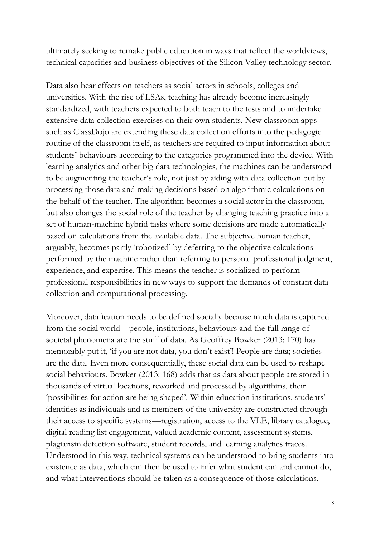ultimately seeking to remake public education in ways that reflect the worldviews, technical capacities and business objectives of the Silicon Valley technology sector.

Data also bear effects on teachers as social actors in schools, colleges and universities. With the rise of LSAs, teaching has already become increasingly standardized, with teachers expected to both teach to the tests and to undertake extensive data collection exercises on their own students. New classroom apps such as ClassDojo are extending these data collection efforts into the pedagogic routine of the classroom itself, as teachers are required to input information about students' behaviours according to the categories programmed into the device. With learning analytics and other big data technologies, the machines can be understood to be augmenting the teacher's role, not just by aiding with data collection but by processing those data and making decisions based on algorithmic calculations on the behalf of the teacher. The algorithm becomes a social actor in the classroom, but also changes the social role of the teacher by changing teaching practice into a set of human-machine hybrid tasks where some decisions are made automatically based on calculations from the available data. The subjective human teacher, arguably, becomes partly 'robotized' by deferring to the objective calculations performed by the machine rather than referring to personal professional judgment, experience, and expertise. This means the teacher is socialized to perform professional responsibilities in new ways to support the demands of constant data collection and computational processing.

Moreover, datafication needs to be defined socially because much data is captured from the social world—people, institutions, behaviours and the full range of societal phenomena are the stuff of data. As Geoffrey Bowker (2013: 170) has memorably put it, 'if you are not data, you don't exist'! People are data; societies are the data. Even more consequentially, these social data can be used to reshape social behaviours. Bowker (2013: 168) adds that as data about people are stored in thousands of virtual locations, reworked and processed by algorithms, their 'possibilities for action are being shaped'. Within education institutions, students' identities as individuals and as members of the university are constructed through their access to specific systems—registration, access to the VLE, library catalogue, digital reading list engagement, valued academic content, assessment systems, plagiarism detection software, student records, and learning analytics traces. Understood in this way, technical systems can be understood to bring students into existence as data, which can then be used to infer what student can and cannot do, and what interventions should be taken as a consequence of those calculations.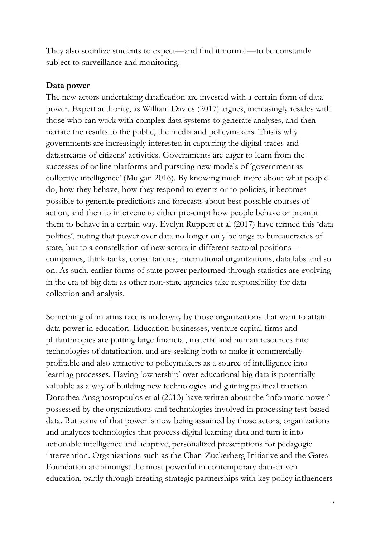They also socialize students to expect—and find it normal—to be constantly subject to surveillance and monitoring.

#### **Data power**

The new actors undertaking datafication are invested with a certain form of data power. Expert authority, as William Davies (2017) argues, increasingly resides with those who can work with complex data systems to generate analyses, and then narrate the results to the public, the media and policymakers. This is why governments are increasingly interested in capturing the digital traces and datastreams of citizens' activities. Governments are eager to learn from the successes of online platforms and pursuing new models of 'government as collective intelligence' (Mulgan 2016). By knowing much more about what people do, how they behave, how they respond to events or to policies, it becomes possible to generate predictions and forecasts about best possible courses of action, and then to intervene to either pre-empt how people behave or prompt them to behave in a certain way. Evelyn Ruppert et al (2017) have termed this 'data politics', noting that power over data no longer only belongs to bureaucracies of state, but to a constellation of new actors in different sectoral positions companies, think tanks, consultancies, international organizations, data labs and so on. As such, earlier forms of state power performed through statistics are evolving in the era of big data as other non-state agencies take responsibility for data collection and analysis.

Something of an arms race is underway by those organizations that want to attain data power in education. Education businesses, venture capital firms and philanthropies are putting large financial, material and human resources into technologies of datafication, and are seeking both to make it commercially profitable and also attractive to policymakers as a source of intelligence into learning processes. Having 'ownership' over educational big data is potentially valuable as a way of building new technologies and gaining political traction. Dorothea Anagnostopoulos et al (2013) have written about the 'informatic power' possessed by the organizations and technologies involved in processing test-based data. But some of that power is now being assumed by those actors, organizations and analytics technologies that process digital learning data and turn it into actionable intelligence and adaptive, personalized prescriptions for pedagogic intervention. Organizations such as the Chan-Zuckerberg Initiative and the Gates Foundation are amongst the most powerful in contemporary data-driven education, partly through creating strategic partnerships with key policy influencers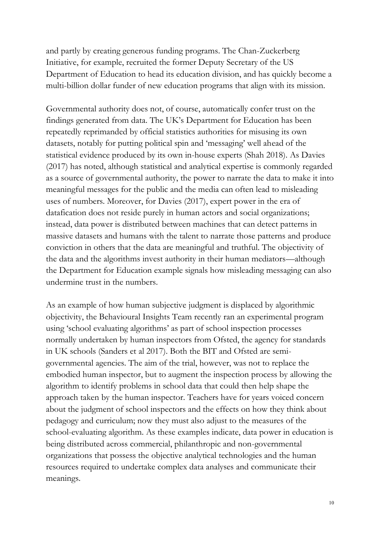and partly by creating generous funding programs. The Chan-Zuckerberg Initiative, for example, recruited the former Deputy Secretary of the US Department of Education to head its education division, and has quickly become a multi-billion dollar funder of new education programs that align with its mission.

Governmental authority does not, of course, automatically confer trust on the findings generated from data. The UK's Department for Education has been repeatedly reprimanded by official statistics authorities for misusing its own datasets, notably for putting political spin and 'messaging' well ahead of the statistical evidence produced by its own in-house experts (Shah 2018). As Davies (2017) has noted, although statistical and analytical expertise is commonly regarded as a source of governmental authority, the power to narrate the data to make it into meaningful messages for the public and the media can often lead to misleading uses of numbers. Moreover, for Davies (2017), expert power in the era of datafication does not reside purely in human actors and social organizations; instead, data power is distributed between machines that can detect patterns in massive datasets and humans with the talent to narrate those patterns and produce conviction in others that the data are meaningful and truthful. The objectivity of the data and the algorithms invest authority in their human mediators—although the Department for Education example signals how misleading messaging can also undermine trust in the numbers.

As an example of how human subjective judgment is displaced by algorithmic objectivity, the Behavioural Insights Team recently ran an experimental program using 'school evaluating algorithms' as part of school inspection processes normally undertaken by human inspectors from Ofsted, the agency for standards in UK schools (Sanders et al 2017). Both the BIT and Ofsted are semigovernmental agencies. The aim of the trial, however, was not to replace the embodied human inspector, but to augment the inspection process by allowing the algorithm to identify problems in school data that could then help shape the approach taken by the human inspector. Teachers have for years voiced concern about the judgment of school inspectors and the effects on how they think about pedagogy and curriculum; now they must also adjust to the measures of the school-evaluating algorithm. As these examples indicate, data power in education is being distributed across commercial, philanthropic and non-governmental organizations that possess the objective analytical technologies and the human resources required to undertake complex data analyses and communicate their meanings.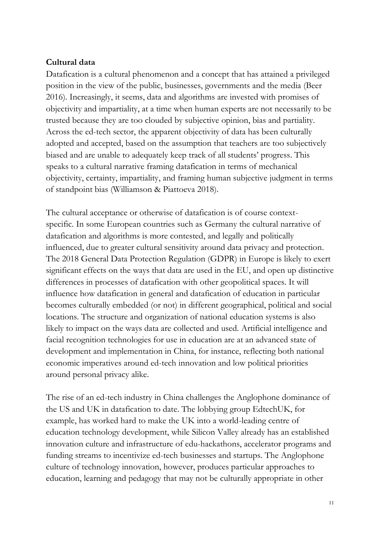## **Cultural data**

Datafication is a cultural phenomenon and a concept that has attained a privileged position in the view of the public, businesses, governments and the media (Beer 2016). Increasingly, it seems, data and algorithms are invested with promises of objectivity and impartiality, at a time when human experts are not necessarily to be trusted because they are too clouded by subjective opinion, bias and partiality. Across the ed-tech sector, the apparent objectivity of data has been culturally adopted and accepted, based on the assumption that teachers are too subjectively biased and are unable to adequately keep track of all students' progress. This speaks to a cultural narrative framing datafication in terms of mechanical objectivity, certainty, impartiality, and framing human subjective judgment in terms of standpoint bias (Williamson & Piattoeva 2018).

The cultural acceptance or otherwise of datafication is of course contextspecific. In some European countries such as Germany the cultural narrative of datafication and algorithms is more contested, and legally and politically influenced, due to greater cultural sensitivity around data privacy and protection. The 2018 General Data Protection Regulation (GDPR) in Europe is likely to exert significant effects on the ways that data are used in the EU, and open up distinctive differences in processes of datafication with other geopolitical spaces. It will influence how datafication in general and datafication of education in particular becomes culturally embedded (or not) in different geographical, political and social locations. The structure and organization of national education systems is also likely to impact on the ways data are collected and used. Artificial intelligence and facial recognition technologies for use in education are at an advanced state of development and implementation in China, for instance, reflecting both national economic imperatives around ed-tech innovation and low political priorities around personal privacy alike.

The rise of an ed-tech industry in China challenges the Anglophone dominance of the US and UK in datafication to date. The lobbying group EdtechUK, for example, has worked hard to make the UK into a world-leading centre of education technology development, while Silicon Valley already has an established innovation culture and infrastructure of edu-hackathons, accelerator programs and funding streams to incentivize ed-tech businesses and startups. The Anglophone culture of technology innovation, however, produces particular approaches to education, learning and pedagogy that may not be culturally appropriate in other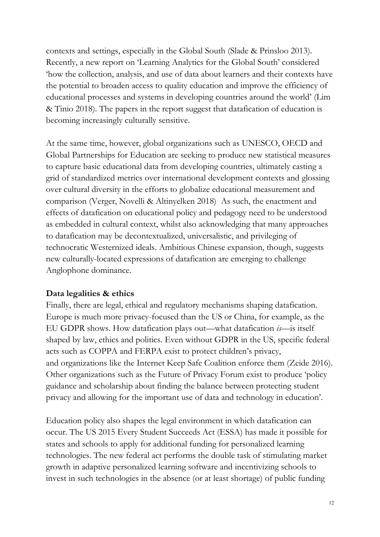contexts and settings, especially in the Global South (Slade & Prinsloo 2013). Recently, a new report on 'Learning Analytics for the Global South' considered 'how the collection, analysis, and use of data about learners and their contexts have the potential to broaden access to quality education and improve the efficiency of educational processes and systems in developing countries around the world' (Lim & Tinio 2018). The papers in the report suggest that datafication of education is becoming increasingly culturally sensitive.

At the same time, however, global organizations such as UNESCO, OECD and Global Partnerships for Education are seeking to produce new statistical measures to capture basic educational data from developing countries, ultimately casting a grid of standardized metrics over international development contexts and glossing over cultural diversity in the efforts to globalize educational measurement and comparison (Verger, Novelli & Altinyelken 2018) As such, the enactment and effects of datafication on educational policy and pedagogy need to be understood as embedded in cultural context, whilst also acknowledging that many approaches to datafication may be decontextualized, universalistic, and privileging of technocratic Westernized ideals. Ambitious Chinese expansion, though, suggests new culturally-located expressions of datafication are emerging to challenge Anglophone dominance.

#### **Data legalities & ethics**

Finally, there are legal, ethical and regulatory mechanisms shaping datafication. Europe is much more privacy-focused than the US or China, for example, as the EU GDPR shows. How datafication plays out—what datafication *is*—is itself shaped by law, ethics and politics. Even without GDPR in the US, specific federal acts such as COPPA and FERPA exist to protect children's privacy, and organizations like the Internet Keep Safe Coalition enforce them (Zeide 2016). Other organizations such as the Future of Privacy Forum exist to produce 'policy guidance and scholarship about finding the balance between protecting student privacy and allowing for the important use of data and technology in education'.

Education policy also shapes the legal environment in which datafication can occur. The US 2015 Every Student Succeeds Act (ESSA) has made it possible for states and schools to apply for additional funding for personalized learning technologies. The new federal act performs the double task of stimulating market growth in adaptive personalized learning software and incentivizing schools to invest in such technologies in the absence (or at least shortage) of public funding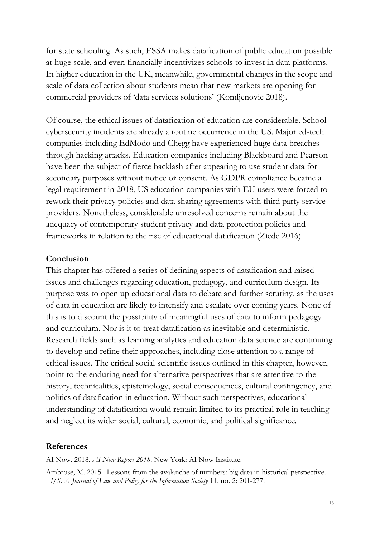for state schooling. As such, ESSA makes datafication of public education possible at huge scale, and even financially incentivizes schools to invest in data platforms. In higher education in the UK, meanwhile, governmental changes in the scope and scale of data collection about students mean that new markets are opening for commercial providers of 'data services solutions' (Komljenovic 2018).

Of course, the ethical issues of datafication of education are considerable. School cybersecurity incidents are already a routine occurrence in the US. Major ed-tech companies including EdModo and Chegg have experienced huge data breaches through hacking attacks. Education companies including Blackboard and Pearson have been the subject of fierce backlash after appearing to use student data for secondary purposes without notice or consent. As GDPR compliance became a legal requirement in 2018, US education companies with EU users were forced to rework their privacy policies and data sharing agreements with third party service providers. Nonetheless, considerable unresolved concerns remain about the adequacy of contemporary student privacy and data protection policies and frameworks in relation to the rise of educational datafication (Ziede 2016).

#### **Conclusion**

This chapter has offered a series of defining aspects of datafication and raised issues and challenges regarding education, pedagogy, and curriculum design. Its purpose was to open up educational data to debate and further scrutiny, as the uses of data in education are likely to intensify and escalate over coming years. None of this is to discount the possibility of meaningful uses of data to inform pedagogy and curriculum. Nor is it to treat datafication as inevitable and deterministic. Research fields such as learning analytics and education data science are continuing to develop and refine their approaches, including close attention to a range of ethical issues. The critical social scientific issues outlined in this chapter, however, point to the enduring need for alternative perspectives that are attentive to the history, technicalities, epistemology, social consequences, cultural contingency, and politics of datafication in education. Without such perspectives, educational understanding of datafication would remain limited to its practical role in teaching and neglect its wider social, cultural, economic, and political significance.

#### **References**

AI Now. 2018. *AI Now Report 2018*. New York: AI Now Institute.

Ambrose, M. 2015. Lessons from the avalanche of numbers: big data in historical perspective. *I/S: A Journal of Law and Policy for the Information Society* 11, no. 2: 201-277.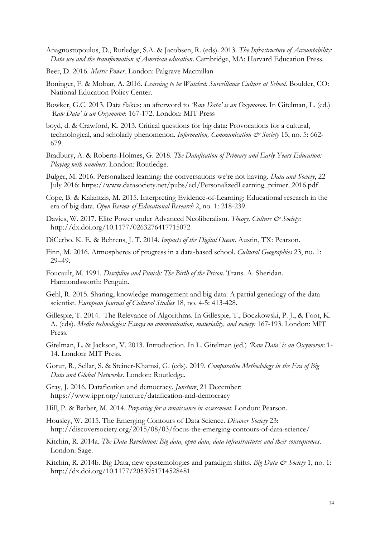- Anagnostopoulos, D., Rutledge, S.A. & Jacobsen, R. (eds). 2013. *The Infrastructure of Accountability: Data use and the transformation of American education*. Cambridge, MA: Harvard Education Press.
- Beer, D. 2016. *Metric Power*. London: Palgrave Macmillan
- Boninger, F. & Molnar, A. 2016. *Learning to be Watched: Surveillance Culture at School.* Boulder, CO: National Education Policy Center.
- Bowker, G.C. 2013. Data flakes: an afterword to *'Raw Data' is an Oxymoron*. In Gitelman, L. (ed.) *'Raw Data' is an Oxymoron*: 167-172. London: MIT Press
- boyd, d. & Crawford, K. 2013. Critical questions for big data: Provocations for a cultural, technological, and scholarly phenomenon. *Information, Communication & Society* 15, no. 5: 662-679.
- Bradbury, A. & Roberts-Holmes, G. 2018. *The Datafication of Primary and Early Years Education: Playing with numbers*. London: Routledge.
- Bulger, M. 2016. Personalized learning: the conversations we're not having. *Data and Society*, 22 July 2016: [https://www.datasociety.net/pubs/ecl/PersonalizedLearning\\_primer\\_2016.pdf](https://www.datasociety.net/pubs/ecl/PersonalizedLearning_primer_2016.pdf)
- Cope, B. & Kalantzis, M. 2015. Interpreting Evidence-of-Learning: Educational research in the era of big data. *Open Review of Educational Research* 2, no. 1: 218-239.
- Davies, W. 2017. Elite Power under Advanced Neoliberalism. *Theory, Culture & Society*: <http://dx.doi.org/10.1177/0263276417715072>
- DiCerbo. K. E. & Behrens, J. T. 2014. *Impacts of the Digital Ocean*. Austin, TX: Pearson.
- Finn, M. 2016. Atmospheres of progress in a data-based school. *Cultural Geographies* 23, no. 1: 29–49.
- Foucault, M. 1991. *Discipline and Punish: The Birth of the Prison*. Trans. A. Sheridan. Harmondsworth: Penguin.
- Gehl, R. 2015. Sharing, knowledge management and big data: A partial genealogy of the data scientist. *European Journal of Cultural Studies* 18, no. 4-5: 413-428.
- Gillespie, T. 2014. The Relevance of Algorithms. In Gillespie, T., Boczkowski, P. J., & Foot, K. A. (eds). *Media technologies: Essays on communication, materiality, and society:* 167-193. London: MIT Press.
- Gitelman, L. & Jackson, V. 2013. Introduction. In L. Gitelman (ed.) *'Raw Data' is an Oxymoron*: 1- 14. London: MIT Press.
- Gorur, R., Sellar, S. & Steiner-Khamsi, G. (eds). 2019. *Comparative Methodology in the Era of Big Data and Global Networks*. London: Routledge.
- Gray, J. 2016. Datafication and democracy. *Juncture*, 21 December: <https://www.ippr.org/juncture/datafication-and-democracy>
- Hill, P. & Barber, M. 2014. *Preparing for a renaissance in assessment*. London: Pearson.
- Housley, W. 2015. The Emerging Contours of Data Science. *Discover Society* 23: http://discoversociety.org/2015/08/03/focus-the-emerging-contours-of-data-science/

Kitchin, R. 2014a. *The Data Revolution: Big data, open data, data infrastructures and their consequences*. London: Sage.

Kitchin, R. 2014b. Big Data, new epistemologies and paradigm shifts. *Big Data & Society* 1, no. 1: http://dx.doi.org/10.1177/2053951714528481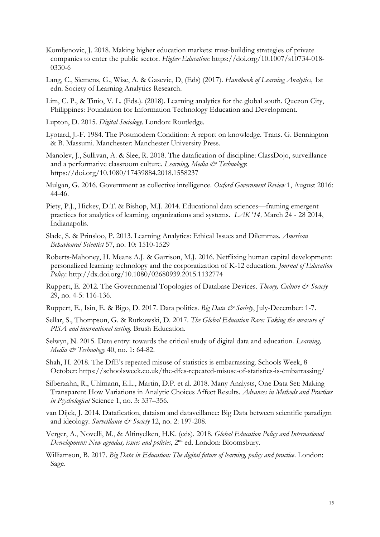- Komljenovic, J. 2018. Making higher education markets: trust-building strategies of private companies to enter the public sector. *Higher Education*: https://doi.org/10.1007/s10734-018- 0330-6
- Lang, C., Siemens, G., Wise, A. & Gasevic, D, (Eds) (2017). *Handbook of Learning Analytics*, 1st edn. Society of Learning Analytics Research.
- Lim, C. P., & Tinio, V. L. (Eds.). (2018). Learning analytics for the global south. Quezon City, Philippines: Foundation for Information Technology Education and Development.
- Lupton, D. 2015. *Digital Sociology*. London: Routledge.
- Lyotard, J.-F. 1984. The Postmodern Condition: A report on knowledge. Trans. G. Bennington & B. Massumi. Manchester: Manchester University Press.
- Manolev, J., Sullivan, A. & Slee, R. 2018. The datafication of discipline: ClassDojo, surveillance and a performative classroom culture. *Learning, Media & Technology*: https://doi.org/10.1080/17439884.2018.1558237
- Mulgan, G. 2016. Government as collective intelligence. *Oxford Government Review* 1, August 2016: 44-46.
- Piety, P.J., Hickey, D.T. & Bishop, M.J. 2014. Educational data sciences—framing emergent practices for analytics of learning, organizations and systems. *LAK '14,* March 24 - 28 2014, Indianapolis.
- Slade, S. & Prinsloo, P. 2013. Learning Analytics: Ethical Issues and Dilemmas. *American Behavioural Scientist* 57, no. 10: 1510-1529
- Roberts-Mahoney, H. Means A.J. & Garrison, M.J. 2016. Netflixing human capital development: personalized learning technology and the corporatization of K-12 education. *Journal of Education Policy*: http://dx.doi.org/10.1080/02680939.2015.1132774
- Ruppert, E. 2012. The Governmental Topologies of Database Devices. *Theory, Culture & Society* 29, no. 4-5: 116-136.
- Ruppert, E., Isin, E. & Bigo, D. 2017. Data politics. *Big Data & Society*, July-December: 1-7.
- Sellar, S., Thompson, G. & Rutkowski, D. 2017. *The Global Education Race: Taking the measure of PISA and international testing*. Brush Education.
- Selwyn, N. 2015. Data entry: towards the critical study of digital data and education. *Learning, Media & Technology* 40, no. 1: 64-82.
- Shah, H. 2018. The DfE's repeated misuse of statistics is embarrassing. Schools Week, 8 October: https://schoolsweek.co.uk/the-dfes-repeated-misuse-of-statistics-is-embarrassing/
- Silberzahn, R., Uhlmann, E.L., Martin, D.P. et al. 2018. Many Analysts, One Data Set: Making Transparent How Variations in Analytic Choices Affect Results. *Advances in Methods and Practices in Psychological* Science 1, no. 3: 337–356.
- van Dijck, J. 2014. Datafication, dataism and dataveillance: Big Data between scientific paradigm and ideology. *Surveillance* & Society 12, no. 2: 197-208.
- Verger, A., Novelli, M., & Altinyelken, H.K. (eds). 2018. *Global Education Policy and International Deevelopment: New agendas, issues and policies*, 2nd ed. London: Bloomsbury.
- Williamson, B. 2017. *Big Data in Education: The digital future of learning, policy and practice*. London: Sage.